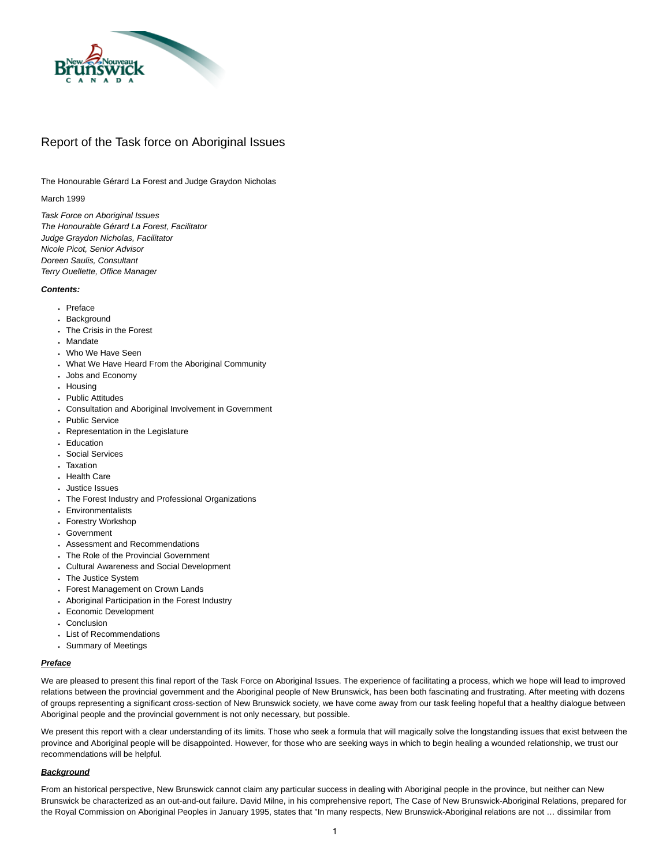

# Report of the Task force on Aboriginal Issues

The Honourable Gérard La Forest and Judge Graydon Nicholas

# March 1999

*Task Force on Aboriginal Issues The Honourable Gérard La Forest, Facilitator Judge Graydon Nicholas, Facilitator Nicole Picot, Senior Advisor Doreen Saulis, Consultant Terry Ouellette, Office Manager*

# *Contents:*

- [Preface](#page-0-0)
- [Background](#page-0-1)
- [The Crisis in the Forest](#page-1-0)
- [Mandate](#page-2-0)
- [Who We Have Seen](#page-2-1)
- [What We Have Heard From the Aboriginal Community](#page-3-0)
- [Jobs and Economy](#page-3-1)
- [Housing](#page-3-2)
- [Public Attitudes](#page-4-0)
- [Consultation and Aboriginal Involvement in Government](#page-4-1)
- [Public Service](#page-4-2)
- [Representation in the Legislature](#page-4-3)
- [Education](#page-4-4)
- [Social Services](#page-5-0)
- [Taxation](#page-5-1)
- [Health Care](#page-5-2)
- [Justice Issues](#page-5-3)
- [The Forest Industry and Professional Organizations](#page-6-0)
- [Environmentalists](#page-6-1)
- [Forestry Workshop](#page-6-2)
- [Government](#page-7-0)
- [Assessment and Recommendations](#page-7-1)
- [The Role of the Provincial Government](#page-7-2)
- [Cultural Awareness and Social Development](#page-8-0)
- [The Justice System](#page-9-0)
- [Forest Management on Crown Lands](#page-9-1)
- [Aboriginal Participation in the Forest Industry](#page-10-0)
- [Economic Development](#page-11-0)
- [Conclusion](#page-12-0)
- [List of Recommendations](#page-12-1)
- [Summary of Meetings](#page-13-0)

# <span id="page-0-0"></span>*Preface*

We are pleased to present this final report of the Task Force on Aboriginal Issues. The experience of facilitating a process, which we hope will lead to improved relations between the provincial government and the Aboriginal people of New Brunswick, has been both fascinating and frustrating. After meeting with dozens of groups representing a significant cross-section of New Brunswick society, we have come away from our task feeling hopeful that a healthy dialogue between Aboriginal people and the provincial government is not only necessary, but possible.

We present this report with a clear understanding of its limits. Those who seek a formula that will magically solve the longstanding issues that exist between the province and Aboriginal people will be disappointed. However, for those who are seeking ways in which to begin healing a wounded relationship, we trust our recommendations will be helpful.

## <span id="page-0-1"></span>*Background*

From an historical perspective, New Brunswick cannot claim any particular success in dealing with Aboriginal people in the province, but neither can New Brunswick be characterized as an out-and-out failure. David Milne, in his comprehensive report, The Case of New Brunswick-Aboriginal Relations, prepared for the Royal Commission on Aboriginal Peoples in January 1995, states that "In many respects, New Brunswick-Aboriginal relations are not … dissimilar from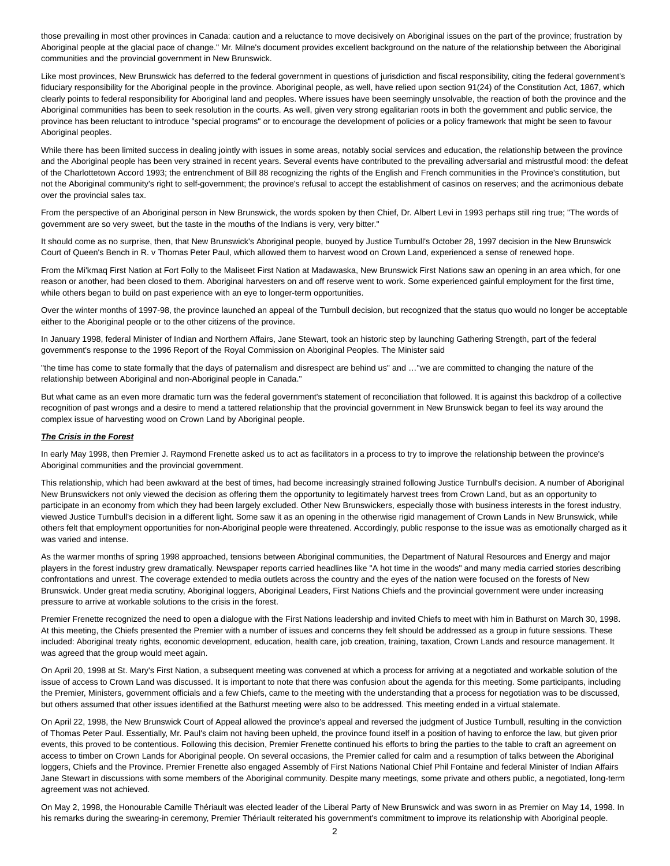those prevailing in most other provinces in Canada: caution and a reluctance to move decisively on Aboriginal issues on the part of the province; frustration by Aboriginal people at the glacial pace of change." Mr. Milne's document provides excellent background on the nature of the relationship between the Aboriginal communities and the provincial government in New Brunswick.

Like most provinces, New Brunswick has deferred to the federal government in questions of jurisdiction and fiscal responsibility, citing the federal government's fiduciary responsibility for the Aboriginal people in the province. Aboriginal people, as well, have relied upon section 91(24) of the Constitution Act, 1867, which clearly points to federal responsibility for Aboriginal land and peoples. Where issues have been seemingly unsolvable, the reaction of both the province and the Aboriginal communities has been to seek resolution in the courts. As well, given very strong egalitarian roots in both the government and public service, the province has been reluctant to introduce "special programs" or to encourage the development of policies or a policy framework that might be seen to favour Aboriginal peoples.

While there has been limited success in dealing jointly with issues in some areas, notably social services and education, the relationship between the province and the Aboriginal people has been very strained in recent years. Several events have contributed to the prevailing adversarial and mistrustful mood: the defeat of the Charlottetown Accord 1993; the entrenchment of Bill 88 recognizing the rights of the English and French communities in the Province's constitution, but not the Aboriginal community's right to self-government; the province's refusal to accept the establishment of casinos on reserves; and the acrimonious debate over the provincial sales tax.

From the perspective of an Aboriginal person in New Brunswick, the words spoken by then Chief, Dr. Albert Levi in 1993 perhaps still ring true; "The words of government are so very sweet, but the taste in the mouths of the Indians is very, very bitter."

It should come as no surprise, then, that New Brunswick's Aboriginal people, buoyed by Justice Turnbull's October 28, 1997 decision in the New Brunswick Court of Queen's Bench in R. v Thomas Peter Paul, which allowed them to harvest wood on Crown Land, experienced a sense of renewed hope.

From the Mi'kmaq First Nation at Fort Folly to the Maliseet First Nation at Madawaska, New Brunswick First Nations saw an opening in an area which, for one reason or another, had been closed to them. Aboriginal harvesters on and off reserve went to work. Some experienced gainful employment for the first time, while others began to build on past experience with an eye to longer-term opportunities.

Over the winter months of 1997-98, the province launched an appeal of the Turnbull decision, but recognized that the status quo would no longer be acceptable either to the Aboriginal people or to the other citizens of the province.

In January 1998, federal Minister of Indian and Northern Affairs, Jane Stewart, took an historic step by launching Gathering Strength, part of the federal government's response to the 1996 Report of the Royal Commission on Aboriginal Peoples. The Minister said

"the time has come to state formally that the days of paternalism and disrespect are behind us" and …"we are committed to changing the nature of the relationship between Aboriginal and non-Aboriginal people in Canada."

But what came as an even more dramatic turn was the federal government's statement of reconciliation that followed. It is against this backdrop of a collective recognition of past wrongs and a desire to mend a tattered relationship that the provincial government in New Brunswick began to feel its way around the complex issue of harvesting wood on Crown Land by Aboriginal people.

## <span id="page-1-0"></span>*The Crisis in the Forest*

In early May 1998, then Premier J. Raymond Frenette asked us to act as facilitators in a process to try to improve the relationship between the province's Aboriginal communities and the provincial government.

This relationship, which had been awkward at the best of times, had become increasingly strained following Justice Turnbull's decision. A number of Aboriginal New Brunswickers not only viewed the decision as offering them the opportunity to legitimately harvest trees from Crown Land, but as an opportunity to participate in an economy from which they had been largely excluded. Other New Brunswickers, especially those with business interests in the forest industry, viewed Justice Turnbull's decision in a different light. Some saw it as an opening in the otherwise rigid management of Crown Lands in New Brunswick, while others felt that employment opportunities for non-Aboriginal people were threatened. Accordingly, public response to the issue was as emotionally charged as it was varied and intense.

As the warmer months of spring 1998 approached, tensions between Aboriginal communities, the Department of Natural Resources and Energy and major players in the forest industry grew dramatically. Newspaper reports carried headlines like "A hot time in the woods" and many media carried stories describing confrontations and unrest. The coverage extended to media outlets across the country and the eyes of the nation were focused on the forests of New Brunswick. Under great media scrutiny, Aboriginal loggers, Aboriginal Leaders, First Nations Chiefs and the provincial government were under increasing pressure to arrive at workable solutions to the crisis in the forest.

Premier Frenette recognized the need to open a dialogue with the First Nations leadership and invited Chiefs to meet with him in Bathurst on March 30, 1998. At this meeting, the Chiefs presented the Premier with a number of issues and concerns they felt should be addressed as a group in future sessions. These included: Aboriginal treaty rights, economic development, education, health care, job creation, training, taxation, Crown Lands and resource management. It was agreed that the group would meet again.

On April 20, 1998 at St. Mary's First Nation, a subsequent meeting was convened at which a process for arriving at a negotiated and workable solution of the issue of access to Crown Land was discussed. It is important to note that there was confusion about the agenda for this meeting. Some participants, including the Premier, Ministers, government officials and a few Chiefs, came to the meeting with the understanding that a process for negotiation was to be discussed, but others assumed that other issues identified at the Bathurst meeting were also to be addressed. This meeting ended in a virtual stalemate.

On April 22, 1998, the New Brunswick Court of Appeal allowed the province's appeal and reversed the judgment of Justice Turnbull, resulting in the conviction of Thomas Peter Paul. Essentially, Mr. Paul's claim not having been upheld, the province found itself in a position of having to enforce the law, but given prior events, this proved to be contentious. Following this decision, Premier Frenette continued his efforts to bring the parties to the table to craft an agreement on access to timber on Crown Lands for Aboriginal people. On several occasions, the Premier called for calm and a resumption of talks between the Aboriginal loggers, Chiefs and the Province. Premier Frenette also engaged Assembly of First Nations National Chief Phil Fontaine and federal Minister of Indian Affairs Jane Stewart in discussions with some members of the Aboriginal community. Despite many meetings, some private and others public, a negotiated, long-term agreement was not achieved.

On May 2, 1998, the Honourable Camille Thériault was elected leader of the Liberal Party of New Brunswick and was sworn in as Premier on May 14, 1998. In his remarks during the swearing-in ceremony, Premier Thériault reiterated his government's commitment to improve its relationship with Aboriginal people.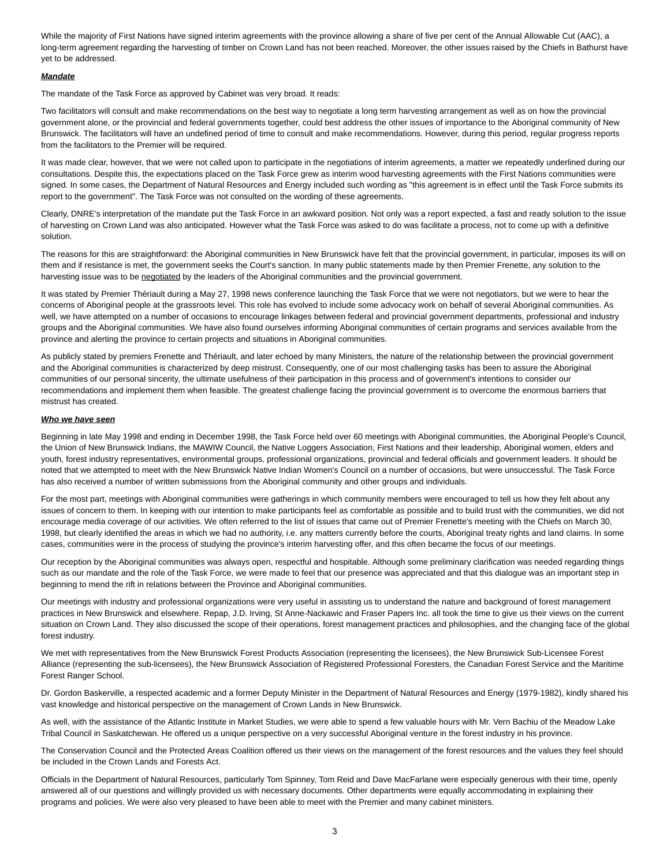While the majority of First Nations have signed interim agreements with the province allowing a share of five per cent of the Annual Allowable Cut (AAC), a long-term agreement regarding the harvesting of timber on Crown Land has not been reached. Moreover, the other issues raised by the Chiefs in Bathurst have yet to be addressed.

## <span id="page-2-0"></span>*Mandate*

The mandate of the Task Force as approved by Cabinet was very broad. It reads:

Two facilitators will consult and make recommendations on the best way to negotiate a long term harvesting arrangement as well as on how the provincial government alone, or the provincial and federal governments together, could best address the other issues of importance to the Aboriginal community of New Brunswick. The facilitators will have an undefined period of time to consult and make recommendations. However, during this period, regular progress reports from the facilitators to the Premier will be required.

It was made clear, however, that we were not called upon to participate in the negotiations of interim agreements, a matter we repeatedly underlined during our consultations. Despite this, the expectations placed on the Task Force grew as interim wood harvesting agreements with the First Nations communities were signed. In some cases, the Department of Natural Resources and Energy included such wording as "this agreement is in effect until the Task Force submits its report to the government". The Task Force was not consulted on the wording of these agreements.

Clearly, DNRE's interpretation of the mandate put the Task Force in an awkward position. Not only was a report expected, a fast and ready solution to the issue of harvesting on Crown Land was also anticipated. However what the Task Force was asked to do was facilitate a process, not to come up with a definitive solution.

The reasons for this are straightforward: the Aboriginal communities in New Brunswick have felt that the provincial government, in particular, imposes its will on them and if resistance is met, the government seeks the Court's sanction. In many public statements made by then Premier Frenette, any solution to the harvesting issue was to be negotiated by the leaders of the Aboriginal communities and the provincial government.

It was stated by Premier Thériault during a May 27, 1998 news conference launching the Task Force that we were not negotiators, but we were to hear the concerns of Aboriginal people at the grassroots level. This role has evolved to include some advocacy work on behalf of several Aboriginal communities. As well, we have attempted on a number of occasions to encourage linkages between federal and provincial government departments, professional and industry groups and the Aboriginal communities. We have also found ourselves informing Aboriginal communities of certain programs and services available from the province and alerting the province to certain projects and situations in Aboriginal communities.

As publicly stated by premiers Frenette and Thériault, and later echoed by many Ministers, the nature of the relationship between the provincial government and the Aboriginal communities is characterized by deep mistrust. Consequently, one of our most challenging tasks has been to assure the Aboriginal communities of our personal sincerity, the ultimate usefulness of their participation in this process and of government's intentions to consider our recommendations and implement them when feasible. The greatest challenge facing the provincial government is to overcome the enormous barriers that mistrust has created.

## <span id="page-2-1"></span>*Who we have seen*

Beginning in late May 1998 and ending in December 1998, the Task Force held over 60 meetings with Aboriginal communities, the Aboriginal People's Council, the Union of New Brunswick Indians, the MAWIW Council, the Native Loggers Association, First Nations and their leadership, Aboriginal women, elders and youth, forest industry representatives, environmental groups, professional organizations, provincial and federal officials and government leaders. It should be noted that we attempted to meet with the New Brunswick Native Indian Women's Council on a number of occasions, but were unsuccessful. The Task Force has also received a number of written submissions from the Aboriginal community and other groups and individuals.

For the most part, meetings with Aboriginal communities were gatherings in which community members were encouraged to tell us how they felt about any issues of concern to them. In keeping with our intention to make participants feel as comfortable as possible and to build trust with the communities, we did not encourage media coverage of our activities. We often referred to the list of issues that came out of Premier Frenette's meeting with the Chiefs on March 30, 1998, but clearly identified the areas in which we had no authority, i.e. any matters currently before the courts, Aboriginal treaty rights and land claims. In some cases, communities were in the process of studying the province's interim harvesting offer, and this often became the focus of our meetings.

Our reception by the Aboriginal communities was always open, respectful and hospitable. Although some preliminary clarification was needed regarding things such as our mandate and the role of the Task Force, we were made to feel that our presence was appreciated and that this dialogue was an important step in beginning to mend the rift in relations between the Province and Aboriginal communities.

Our meetings with industry and professional organizations were very useful in assisting us to understand the nature and background of forest management practices in New Brunswick and elsewhere. Repap, J.D. Irving, St Anne-Nackawic and Fraser Papers Inc. all took the time to give us their views on the current situation on Crown Land. They also discussed the scope of their operations, forest management practices and philosophies, and the changing face of the global forest industry.

We met with representatives from the New Brunswick Forest Products Association (representing the licensees), the New Brunswick Sub-Licensee Forest Alliance (representing the sub-licensees), the New Brunswick Association of Registered Professional Foresters, the Canadian Forest Service and the Maritime Forest Ranger School.

Dr. Gordon Baskerville, a respected academic and a former Deputy Minister in the Department of Natural Resources and Energy (1979-1982), kindly shared his vast knowledge and historical perspective on the management of Crown Lands in New Brunswick.

As well, with the assistance of the Atlantic Institute in Market Studies, we were able to spend a few valuable hours with Mr. Vern Bachiu of the Meadow Lake Tribal Council in Saskatchewan. He offered us a unique perspective on a very successful Aboriginal venture in the forest industry in his province.

The Conservation Council and the Protected Areas Coalition offered us their views on the management of the forest resources and the values they feel should be included in the Crown Lands and Forests Act.

Officials in the Department of Natural Resources, particularly Tom Spinney, Tom Reid and Dave MacFarlane were especially generous with their time, openly answered all of our questions and willingly provided us with necessary documents. Other departments were equally accommodating in explaining their programs and policies. We were also very pleased to have been able to meet with the Premier and many cabinet ministers.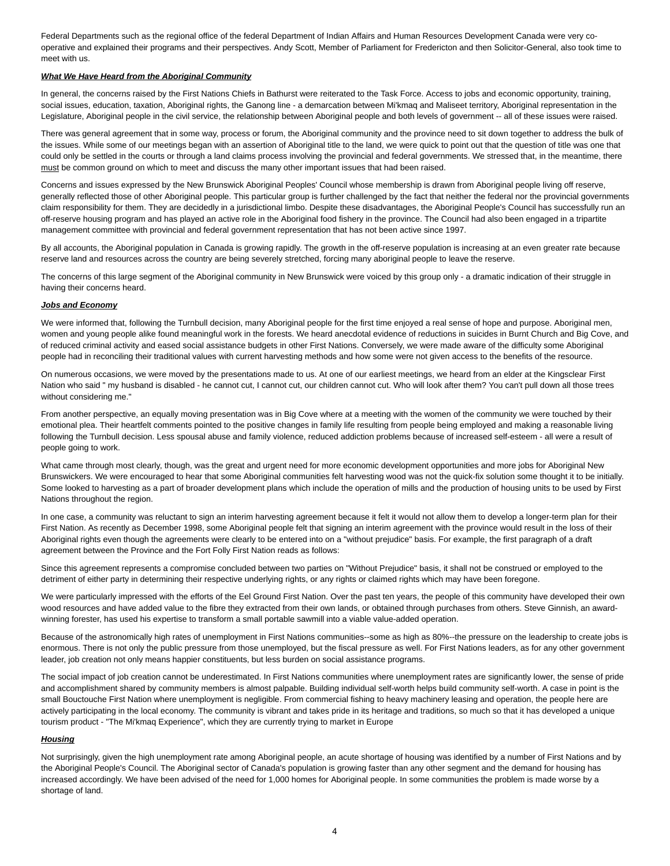Federal Departments such as the regional office of the federal Department of Indian Affairs and Human Resources Development Canada were very cooperative and explained their programs and their perspectives. Andy Scott, Member of Parliament for Fredericton and then Solicitor-General, also took time to meet with us.

## <span id="page-3-0"></span>*What We Have Heard from the Aboriginal Community*

In general, the concerns raised by the First Nations Chiefs in Bathurst were reiterated to the Task Force. Access to jobs and economic opportunity, training, social issues, education, taxation, Aboriginal rights, the Ganong line - a demarcation between Mi'kmaq and Maliseet territory, Aboriginal representation in the Legislature, Aboriginal people in the civil service, the relationship between Aboriginal people and both levels of government -- all of these issues were raised.

There was general agreement that in some way, process or forum, the Aboriginal community and the province need to sit down together to address the bulk of the issues. While some of our meetings began with an assertion of Aboriginal title to the land, we were quick to point out that the question of title was one that could only be settled in the courts or through a land claims process involving the provincial and federal governments. We stressed that, in the meantime, there must be common ground on which to meet and discuss the many other important issues that had been raised.

Concerns and issues expressed by the New Brunswick Aboriginal Peoples' Council whose membership is drawn from Aboriginal people living off reserve, generally reflected those of other Aboriginal people. This particular group is further challenged by the fact that neither the federal nor the provincial governments claim responsibility for them. They are decidedly in a jurisdictional limbo. Despite these disadvantages, the Aboriginal People's Council has successfully run an off-reserve housing program and has played an active role in the Aboriginal food fishery in the province. The Council had also been engaged in a tripartite management committee with provincial and federal government representation that has not been active since 1997.

By all accounts, the Aboriginal population in Canada is growing rapidly. The growth in the off-reserve population is increasing at an even greater rate because reserve land and resources across the country are being severely stretched, forcing many aboriginal people to leave the reserve.

The concerns of this large segment of the Aboriginal community in New Brunswick were voiced by this group only - a dramatic indication of their struggle in having their concerns heard.

# <span id="page-3-1"></span>*Jobs and Economy*

We were informed that, following the Turnbull decision, many Aboriginal people for the first time enjoyed a real sense of hope and purpose. Aboriginal men, women and young people alike found meaningful work in the forests. We heard anecdotal evidence of reductions in suicides in Burnt Church and Big Cove, and of reduced criminal activity and eased social assistance budgets in other First Nations. Conversely, we were made aware of the difficulty some Aboriginal people had in reconciling their traditional values with current harvesting methods and how some were not given access to the benefits of the resource.

On numerous occasions, we were moved by the presentations made to us. At one of our earliest meetings, we heard from an elder at the Kingsclear First Nation who said " my husband is disabled - he cannot cut, I cannot cut, our children cannot cut. Who will look after them? You can't pull down all those trees without considering me."

From another perspective, an equally moving presentation was in Big Cove where at a meeting with the women of the community we were touched by their emotional plea. Their heartfelt comments pointed to the positive changes in family life resulting from people being employed and making a reasonable living following the Turnbull decision. Less spousal abuse and family violence, reduced addiction problems because of increased self-esteem - all were a result of people going to work.

What came through most clearly, though, was the great and urgent need for more economic development opportunities and more jobs for Aboriginal New Brunswickers. We were encouraged to hear that some Aboriginal communities felt harvesting wood was not the quick-fix solution some thought it to be initially. Some looked to harvesting as a part of broader development plans which include the operation of mills and the production of housing units to be used by First Nations throughout the region.

In one case, a community was reluctant to sign an interim harvesting agreement because it felt it would not allow them to develop a longer-term plan for their First Nation. As recently as December 1998, some Aboriginal people felt that signing an interim agreement with the province would result in the loss of their Aboriginal rights even though the agreements were clearly to be entered into on a "without prejudice" basis. For example, the first paragraph of a draft agreement between the Province and the Fort Folly First Nation reads as follows:

Since this agreement represents a compromise concluded between two parties on "Without Prejudice" basis, it shall not be construed or employed to the detriment of either party in determining their respective underlying rights, or any rights or claimed rights which may have been foregone.

We were particularly impressed with the efforts of the Eel Ground First Nation. Over the past ten years, the people of this community have developed their own wood resources and have added value to the fibre they extracted from their own lands, or obtained through purchases from others. Steve Ginnish, an awardwinning forester, has used his expertise to transform a small portable sawmill into a viable value-added operation.

Because of the astronomically high rates of unemployment in First Nations communities--some as high as 80%--the pressure on the leadership to create jobs is enormous. There is not only the public pressure from those unemployed, but the fiscal pressure as well. For First Nations leaders, as for any other government leader, job creation not only means happier constituents, but less burden on social assistance programs.

The social impact of job creation cannot be underestimated. In First Nations communities where unemployment rates are significantly lower, the sense of pride and accomplishment shared by community members is almost palpable. Building individual self-worth helps build community self-worth. A case in point is the small Bouctouche First Nation where unemployment is negligible. From commercial fishing to heavy machinery leasing and operation, the people here are actively participating in the local economy. The community is vibrant and takes pride in its heritage and traditions, so much so that it has developed a unique tourism product - "The Mi'kmaq Experience", which they are currently trying to market in Europe

## <span id="page-3-2"></span>*Housing*

Not surprisingly, given the high unemployment rate among Aboriginal people, an acute shortage of housing was identified by a number of First Nations and by the Aboriginal People's Council. The Aboriginal sector of Canada's population is growing faster than any other segment and the demand for housing has increased accordingly. We have been advised of the need for 1,000 homes for Aboriginal people. In some communities the problem is made worse by a shortage of land.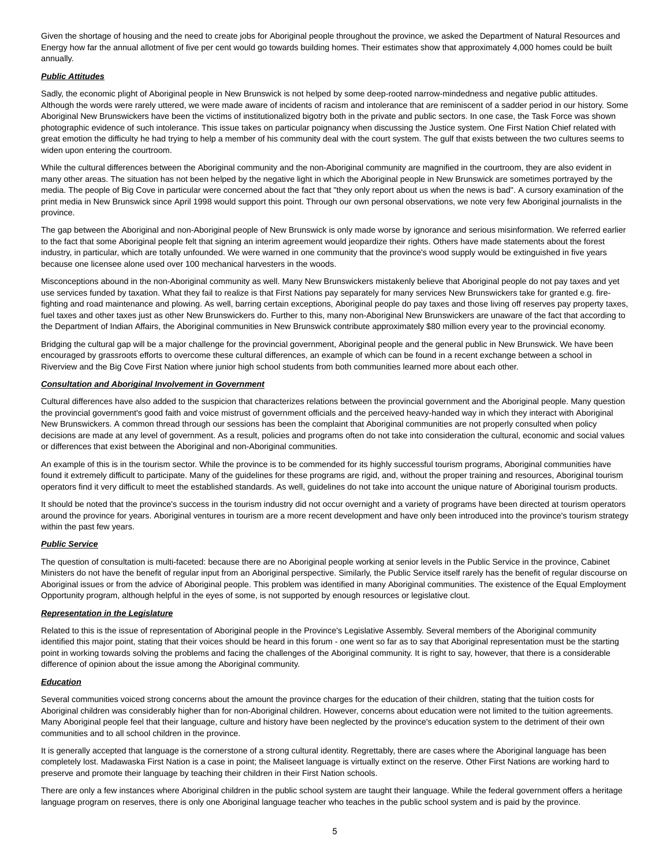Given the shortage of housing and the need to create jobs for Aboriginal people throughout the province, we asked the Department of Natural Resources and Energy how far the annual allotment of five per cent would go towards building homes. Their estimates show that approximately 4,000 homes could be built annually.

# <span id="page-4-0"></span>*Public Attitudes*

Sadly, the economic plight of Aboriginal people in New Brunswick is not helped by some deep-rooted narrow-mindedness and negative public attitudes. Although the words were rarely uttered, we were made aware of incidents of racism and intolerance that are reminiscent of a sadder period in our history. Some Aboriginal New Brunswickers have been the victims of institutionalized bigotry both in the private and public sectors. In one case, the Task Force was shown photographic evidence of such intolerance. This issue takes on particular poignancy when discussing the Justice system. One First Nation Chief related with great emotion the difficulty he had trying to help a member of his community deal with the court system. The gulf that exists between the two cultures seems to widen upon entering the courtroom.

While the cultural differences between the Aboriginal community and the non-Aboriginal community are magnified in the courtroom, they are also evident in many other areas. The situation has not been helped by the negative light in which the Aboriginal people in New Brunswick are sometimes portrayed by the media. The people of Big Cove in particular were concerned about the fact that "they only report about us when the news is bad". A cursory examination of the print media in New Brunswick since April 1998 would support this point. Through our own personal observations, we note very few Aboriginal journalists in the province.

The gap between the Aboriginal and non-Aboriginal people of New Brunswick is only made worse by ignorance and serious misinformation. We referred earlier to the fact that some Aboriginal people felt that signing an interim agreement would jeopardize their rights. Others have made statements about the forest industry, in particular, which are totally unfounded. We were warned in one community that the province's wood supply would be extinguished in five years because one licensee alone used over 100 mechanical harvesters in the woods.

Misconceptions abound in the non-Aboriginal community as well. Many New Brunswickers mistakenly believe that Aboriginal people do not pay taxes and yet use services funded by taxation. What they fail to realize is that First Nations pay separately for many services New Brunswickers take for granted e.g. firefighting and road maintenance and plowing. As well, barring certain exceptions, Aboriginal people do pay taxes and those living off reserves pay property taxes, fuel taxes and other taxes just as other New Brunswickers do. Further to this, many non-Aboriginal New Brunswickers are unaware of the fact that according to the Department of Indian Affairs, the Aboriginal communities in New Brunswick contribute approximately \$80 million every year to the provincial economy.

Bridging the cultural gap will be a major challenge for the provincial government, Aboriginal people and the general public in New Brunswick. We have been encouraged by grassroots efforts to overcome these cultural differences, an example of which can be found in a recent exchange between a school in Riverview and the Big Cove First Nation where junior high school students from both communities learned more about each other.

# <span id="page-4-1"></span>*Consultation and Aboriginal Involvement in Government*

Cultural differences have also added to the suspicion that characterizes relations between the provincial government and the Aboriginal people. Many question the provincial government's good faith and voice mistrust of government officials and the perceived heavy-handed way in which they interact with Aboriginal New Brunswickers. A common thread through our sessions has been the complaint that Aboriginal communities are not properly consulted when policy decisions are made at any level of government. As a result, policies and programs often do not take into consideration the cultural, economic and social values or differences that exist between the Aboriginal and non-Aboriginal communities.

An example of this is in the tourism sector. While the province is to be commended for its highly successful tourism programs, Aboriginal communities have found it extremely difficult to participate. Many of the guidelines for these programs are rigid, and, without the proper training and resources, Aboriginal tourism operators find it very difficult to meet the established standards. As well, guidelines do not take into account the unique nature of Aboriginal tourism products.

It should be noted that the province's success in the tourism industry did not occur overnight and a variety of programs have been directed at tourism operators around the province for years. Aboriginal ventures in tourism are a more recent development and have only been introduced into the province's tourism strategy within the past few years.

# <span id="page-4-2"></span>*Public Service*

The question of consultation is multi-faceted: because there are no Aboriginal people working at senior levels in the Public Service in the province, Cabinet Ministers do not have the benefit of regular input from an Aboriginal perspective. Similarly, the Public Service itself rarely has the benefit of regular discourse on Aboriginal issues or from the advice of Aboriginal people. This problem was identified in many Aboriginal communities. The existence of the Equal Employment Opportunity program, although helpful in the eyes of some, is not supported by enough resources or legislative clout.

## <span id="page-4-3"></span>*Representation in the Legislature*

Related to this is the issue of representation of Aboriginal people in the Province's Legislative Assembly. Several members of the Aboriginal community identified this major point, stating that their voices should be heard in this forum - one went so far as to say that Aboriginal representation must be the starting point in working towards solving the problems and facing the challenges of the Aboriginal community. It is right to say, however, that there is a considerable difference of opinion about the issue among the Aboriginal community.

# <span id="page-4-4"></span>*Education*

Several communities voiced strong concerns about the amount the province charges for the education of their children, stating that the tuition costs for Aboriginal children was considerably higher than for non-Aboriginal children. However, concerns about education were not limited to the tuition agreements. Many Aboriginal people feel that their language, culture and history have been neglected by the province's education system to the detriment of their own communities and to all school children in the province.

It is generally accepted that language is the cornerstone of a strong cultural identity. Regrettably, there are cases where the Aboriginal language has been completely lost. Madawaska First Nation is a case in point; the Maliseet language is virtually extinct on the reserve. Other First Nations are working hard to preserve and promote their language by teaching their children in their First Nation schools.

There are only a few instances where Aboriginal children in the public school system are taught their language. While the federal government offers a heritage language program on reserves, there is only one Aboriginal language teacher who teaches in the public school system and is paid by the province.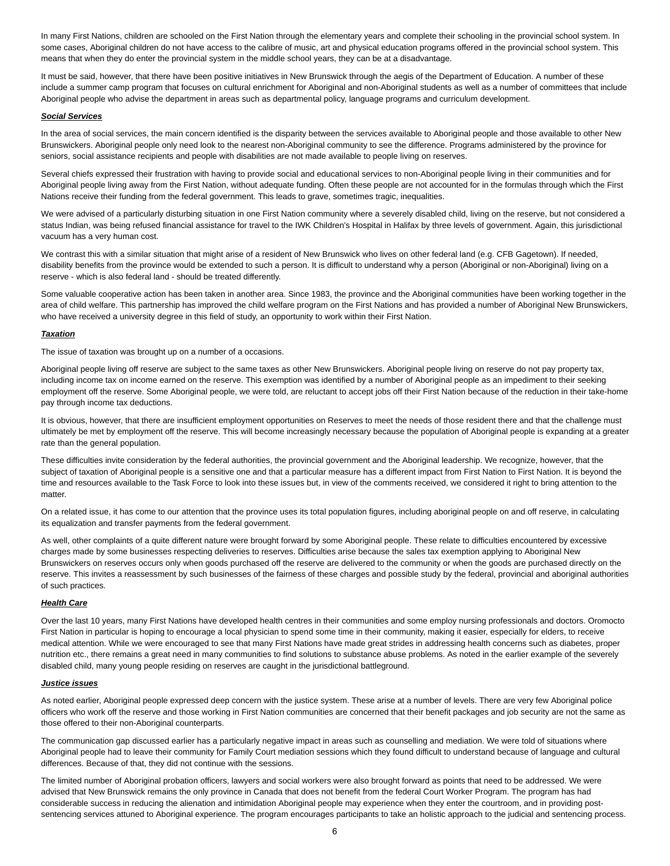In many First Nations, children are schooled on the First Nation through the elementary years and complete their schooling in the provincial school system. In some cases, Aboriginal children do not have access to the calibre of music, art and physical education programs offered in the provincial school system. This means that when they do enter the provincial system in the middle school years, they can be at a disadvantage.

It must be said, however, that there have been positive initiatives in New Brunswick through the aegis of the Department of Education. A number of these include a summer camp program that focuses on cultural enrichment for Aboriginal and non-Aboriginal students as well as a number of committees that include Aboriginal people who advise the department in areas such as departmental policy, language programs and curriculum development.

# <span id="page-5-0"></span>*Social Services*

In the area of social services, the main concern identified is the disparity between the services available to Aboriginal people and those available to other New Brunswickers. Aboriginal people only need look to the nearest non-Aboriginal community to see the difference. Programs administered by the province for seniors, social assistance recipients and people with disabilities are not made available to people living on reserves.

Several chiefs expressed their frustration with having to provide social and educational services to non-Aboriginal people living in their communities and for Aboriginal people living away from the First Nation, without adequate funding. Often these people are not accounted for in the formulas through which the First Nations receive their funding from the federal government. This leads to grave, sometimes tragic, inequalities.

We were advised of a particularly disturbing situation in one First Nation community where a severely disabled child, living on the reserve, but not considered a status Indian, was being refused financial assistance for travel to the IWK Children's Hospital in Halifax by three levels of government. Again, this jurisdictional vacuum has a very human cost.

We contrast this with a similar situation that might arise of a resident of New Brunswick who lives on other federal land (e.g. CFB Gagetown). If needed, disability benefits from the province would be extended to such a person. It is difficult to understand why a person (Aboriginal or non-Aboriginal) living on a reserve - which is also federal land - should be treated differently.

Some valuable cooperative action has been taken in another area. Since 1983, the province and the Aboriginal communities have been working together in the area of child welfare. This partnership has improved the child welfare program on the First Nations and has provided a number of Aboriginal New Brunswickers, who have received a university degree in this field of study, an opportunity to work within their First Nation.

## <span id="page-5-1"></span>*Taxation*

The issue of taxation was brought up on a number of a occasions.

Aboriginal people living off reserve are subject to the same taxes as other New Brunswickers. Aboriginal people living on reserve do not pay property tax, including income tax on income earned on the reserve. This exemption was identified by a number of Aboriginal people as an impediment to their seeking employment off the reserve. Some Aboriginal people, we were told, are reluctant to accept jobs off their First Nation because of the reduction in their take-home pay through income tax deductions.

It is obvious, however, that there are insufficient employment opportunities on Reserves to meet the needs of those resident there and that the challenge must ultimately be met by employment off the reserve. This will become increasingly necessary because the population of Aboriginal people is expanding at a greater rate than the general population.

These difficulties invite consideration by the federal authorities, the provincial government and the Aboriginal leadership. We recognize, however, that the subject of taxation of Aboriginal people is a sensitive one and that a particular measure has a different impact from First Nation to First Nation. It is beyond the time and resources available to the Task Force to look into these issues but, in view of the comments received, we considered it right to bring attention to the matter.

On a related issue, it has come to our attention that the province uses its total population figures, including aboriginal people on and off reserve, in calculating its equalization and transfer payments from the federal government.

As well, other complaints of a quite different nature were brought forward by some Aboriginal people. These relate to difficulties encountered by excessive charges made by some businesses respecting deliveries to reserves. Difficulties arise because the sales tax exemption applying to Aboriginal New Brunswickers on reserves occurs only when goods purchased off the reserve are delivered to the community or when the goods are purchased directly on the reserve. This invites a reassessment by such businesses of the fairness of these charges and possible study by the federal, provincial and aboriginal authorities of such practices.

## <span id="page-5-2"></span>*Health Care*

Over the last 10 years, many First Nations have developed health centres in their communities and some employ nursing professionals and doctors. Oromocto First Nation in particular is hoping to encourage a local physician to spend some time in their community, making it easier, especially for elders, to receive medical attention. While we were encouraged to see that many First Nations have made great strides in addressing health concerns such as diabetes, proper nutrition etc., there remains a great need in many communities to find solutions to substance abuse problems. As noted in the earlier example of the severely disabled child, many young people residing on reserves are caught in the jurisdictional battleground.

## <span id="page-5-3"></span>*Justice issues*

As noted earlier, Aboriginal people expressed deep concern with the justice system. These arise at a number of levels. There are very few Aboriginal police officers who work off the reserve and those working in First Nation communities are concerned that their benefit packages and job security are not the same as those offered to their non-Aboriginal counterparts.

The communication gap discussed earlier has a particularly negative impact in areas such as counselling and mediation. We were told of situations where Aboriginal people had to leave their community for Family Court mediation sessions which they found difficult to understand because of language and cultural differences. Because of that, they did not continue with the sessions.

The limited number of Aboriginal probation officers, lawyers and social workers were also brought forward as points that need to be addressed. We were advised that New Brunswick remains the only province in Canada that does not benefit from the federal Court Worker Program. The program has had considerable success in reducing the alienation and intimidation Aboriginal people may experience when they enter the courtroom, and in providing postsentencing services attuned to Aboriginal experience. The program encourages participants to take an holistic approach to the judicial and sentencing process.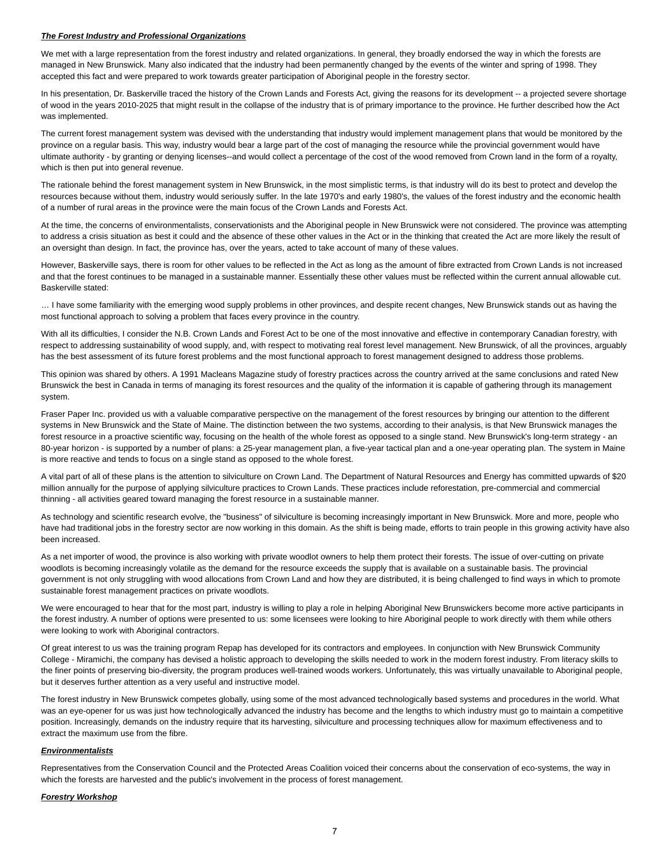#### <span id="page-6-0"></span>*The Forest Industry and Professional Organizations*

We met with a large representation from the forest industry and related organizations. In general, they broadly endorsed the way in which the forests are managed in New Brunswick. Many also indicated that the industry had been permanently changed by the events of the winter and spring of 1998. They accepted this fact and were prepared to work towards greater participation of Aboriginal people in the forestry sector.

In his presentation, Dr. Baskerville traced the history of the Crown Lands and Forests Act, giving the reasons for its development -- a projected severe shortage of wood in the years 2010-2025 that might result in the collapse of the industry that is of primary importance to the province. He further described how the Act was implemented.

The current forest management system was devised with the understanding that industry would implement management plans that would be monitored by the province on a regular basis. This way, industry would bear a large part of the cost of managing the resource while the provincial government would have ultimate authority - by granting or denying licenses--and would collect a percentage of the cost of the wood removed from Crown land in the form of a royalty, which is then put into general revenue.

The rationale behind the forest management system in New Brunswick, in the most simplistic terms, is that industry will do its best to protect and develop the resources because without them, industry would seriously suffer. In the late 1970's and early 1980's, the values of the forest industry and the economic health of a number of rural areas in the province were the main focus of the Crown Lands and Forests Act.

At the time, the concerns of environmentalists, conservationists and the Aboriginal people in New Brunswick were not considered. The province was attempting to address a crisis situation as best it could and the absence of these other values in the Act or in the thinking that created the Act are more likely the result of an oversight than design. In fact, the province has, over the years, acted to take account of many of these values.

However, Baskerville says, there is room for other values to be reflected in the Act as long as the amount of fibre extracted from Crown Lands is not increased and that the forest continues to be managed in a sustainable manner. Essentially these other values must be reflected within the current annual allowable cut. Baskerville stated:

… I have some familiarity with the emerging wood supply problems in other provinces, and despite recent changes, New Brunswick stands out as having the most functional approach to solving a problem that faces every province in the country.

With all its difficulties, I consider the N.B. Crown Lands and Forest Act to be one of the most innovative and effective in contemporary Canadian forestry, with respect to addressing sustainability of wood supply, and, with respect to motivating real forest level management. New Brunswick, of all the provinces, arguably has the best assessment of its future forest problems and the most functional approach to forest management designed to address those problems.

This opinion was shared by others. A 1991 Macleans Magazine study of forestry practices across the country arrived at the same conclusions and rated New Brunswick the best in Canada in terms of managing its forest resources and the quality of the information it is capable of gathering through its management system.

Fraser Paper Inc. provided us with a valuable comparative perspective on the management of the forest resources by bringing our attention to the different systems in New Brunswick and the State of Maine. The distinction between the two systems, according to their analysis, is that New Brunswick manages the forest resource in a proactive scientific way, focusing on the health of the whole forest as opposed to a single stand. New Brunswick's long-term strategy - an 80-year horizon - is supported by a number of plans: a 25-year management plan, a five-year tactical plan and a one-year operating plan. The system in Maine is more reactive and tends to focus on a single stand as opposed to the whole forest.

A vital part of all of these plans is the attention to silviculture on Crown Land. The Department of Natural Resources and Energy has committed upwards of \$20 million annually for the purpose of applying silviculture practices to Crown Lands. These practices include reforestation, pre-commercial and commercial thinning - all activities geared toward managing the forest resource in a sustainable manner.

As technology and scientific research evolve, the "business" of silviculture is becoming increasingly important in New Brunswick. More and more, people who have had traditional jobs in the forestry sector are now working in this domain. As the shift is being made, efforts to train people in this growing activity have also been increased.

As a net importer of wood, the province is also working with private woodlot owners to help them protect their forests. The issue of over-cutting on private woodlots is becoming increasingly volatile as the demand for the resource exceeds the supply that is available on a sustainable basis. The provincial government is not only struggling with wood allocations from Crown Land and how they are distributed, it is being challenged to find ways in which to promote sustainable forest management practices on private woodlots.

We were encouraged to hear that for the most part, industry is willing to play a role in helping Aboriginal New Brunswickers become more active participants in the forest industry. A number of options were presented to us: some licensees were looking to hire Aboriginal people to work directly with them while others were looking to work with Aboriginal contractors.

Of great interest to us was the training program Repap has developed for its contractors and employees. In conjunction with New Brunswick Community College - Miramichi, the company has devised a holistic approach to developing the skills needed to work in the modern forest industry. From literacy skills to the finer points of preserving bio-diversity, the program produces well-trained woods workers. Unfortunately, this was virtually unavailable to Aboriginal people, but it deserves further attention as a very useful and instructive model.

The forest industry in New Brunswick competes globally, using some of the most advanced technologically based systems and procedures in the world. What was an eye-opener for us was just how technologically advanced the industry has become and the lengths to which industry must go to maintain a competitive position. Increasingly, demands on the industry require that its harvesting, silviculture and processing techniques allow for maximum effectiveness and to extract the maximum use from the fibre.

# <span id="page-6-1"></span>*Environmentalists*

Representatives from the Conservation Council and the Protected Areas Coalition voiced their concerns about the conservation of eco-systems, the way in which the forests are harvested and the public's involvement in the process of forest management.

#### <span id="page-6-2"></span>*Forestry Workshop*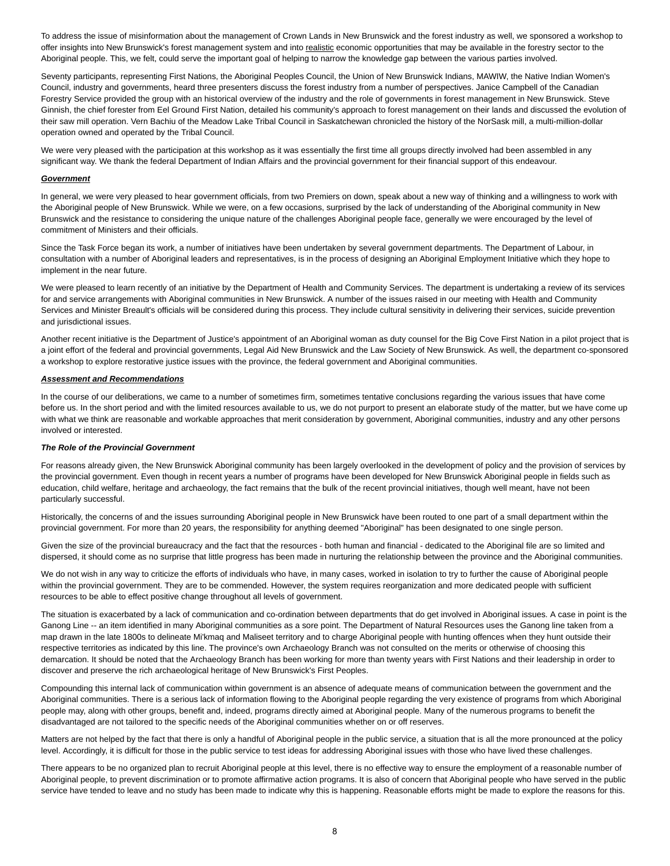To address the issue of misinformation about the management of Crown Lands in New Brunswick and the forest industry as well, we sponsored a workshop to offer insights into New Brunswick's forest management system and into realistic economic opportunities that may be available in the forestry sector to the Aboriginal people. This, we felt, could serve the important goal of helping to narrow the knowledge gap between the various parties involved.

Seventy participants, representing First Nations, the Aboriginal Peoples Council, the Union of New Brunswick Indians, MAWIW, the Native Indian Women's Council, industry and governments, heard three presenters discuss the forest industry from a number of perspectives. Janice Campbell of the Canadian Forestry Service provided the group with an historical overview of the industry and the role of governments in forest management in New Brunswick. Steve Ginnish, the chief forester from Eel Ground First Nation, detailed his community's approach to forest management on their lands and discussed the evolution of their saw mill operation. Vern Bachiu of the Meadow Lake Tribal Council in Saskatchewan chronicled the history of the NorSask mill, a multi-million-dollar operation owned and operated by the Tribal Council.

We were very pleased with the participation at this workshop as it was essentially the first time all groups directly involved had been assembled in any significant way. We thank the federal Department of Indian Affairs and the provincial government for their financial support of this endeavour.

## <span id="page-7-0"></span>*Government*

In general, we were very pleased to hear government officials, from two Premiers on down, speak about a new way of thinking and a willingness to work with the Aboriginal people of New Brunswick. While we were, on a few occasions, surprised by the lack of understanding of the Aboriginal community in New Brunswick and the resistance to considering the unique nature of the challenges Aboriginal people face, generally we were encouraged by the level of commitment of Ministers and their officials.

Since the Task Force began its work, a number of initiatives have been undertaken by several government departments. The Department of Labour, in consultation with a number of Aboriginal leaders and representatives, is in the process of designing an Aboriginal Employment Initiative which they hope to implement in the near future.

We were pleased to learn recently of an initiative by the Department of Health and Community Services. The department is undertaking a review of its services for and service arrangements with Aboriginal communities in New Brunswick. A number of the issues raised in our meeting with Health and Community Services and Minister Breault's officials will be considered during this process. They include cultural sensitivity in delivering their services, suicide prevention and jurisdictional issues.

Another recent initiative is the Department of Justice's appointment of an Aboriginal woman as duty counsel for the Big Cove First Nation in a pilot project that is a joint effort of the federal and provincial governments, Legal Aid New Brunswick and the Law Society of New Brunswick. As well, the department co-sponsored a workshop to explore restorative justice issues with the province, the federal government and Aboriginal communities.

# <span id="page-7-1"></span>*Assessment and Recommendations*

In the course of our deliberations, we came to a number of sometimes firm, sometimes tentative conclusions regarding the various issues that have come before us. In the short period and with the limited resources available to us, we do not purport to present an elaborate study of the matter, but we have come up with what we think are reasonable and workable approaches that merit consideration by government, Aboriginal communities, industry and any other persons involved or interested.

## <span id="page-7-2"></span>*The Role of the Provincial Government*

For reasons already given, the New Brunswick Aboriginal community has been largely overlooked in the development of policy and the provision of services by the provincial government. Even though in recent years a number of programs have been developed for New Brunswick Aboriginal people in fields such as education, child welfare, heritage and archaeology, the fact remains that the bulk of the recent provincial initiatives, though well meant, have not been particularly successful.

Historically, the concerns of and the issues surrounding Aboriginal people in New Brunswick have been routed to one part of a small department within the provincial government. For more than 20 years, the responsibility for anything deemed "Aboriginal" has been designated to one single person.

Given the size of the provincial bureaucracy and the fact that the resources - both human and financial - dedicated to the Aboriginal file are so limited and dispersed, it should come as no surprise that little progress has been made in nurturing the relationship between the province and the Aboriginal communities.

We do not wish in any way to criticize the efforts of individuals who have, in many cases, worked in isolation to try to further the cause of Aboriginal people within the provincial government. They are to be commended. However, the system requires reorganization and more dedicated people with sufficient resources to be able to effect positive change throughout all levels of government.

The situation is exacerbated by a lack of communication and co-ordination between departments that do get involved in Aboriginal issues. A case in point is the Ganong Line -- an item identified in many Aboriginal communities as a sore point. The Department of Natural Resources uses the Ganong line taken from a map drawn in the late 1800s to delineate Mi'kmaq and Maliseet territory and to charge Aboriginal people with hunting offences when they hunt outside their respective territories as indicated by this line. The province's own Archaeology Branch was not consulted on the merits or otherwise of choosing this demarcation. It should be noted that the Archaeology Branch has been working for more than twenty years with First Nations and their leadership in order to discover and preserve the rich archaeological heritage of New Brunswick's First Peoples.

Compounding this internal lack of communication within government is an absence of adequate means of communication between the government and the Aboriginal communities. There is a serious lack of information flowing to the Aboriginal people regarding the very existence of programs from which Aboriginal people may, along with other groups, benefit and, indeed, programs directly aimed at Aboriginal people. Many of the numerous programs to benefit the disadvantaged are not tailored to the specific needs of the Aboriginal communities whether on or off reserves.

Matters are not helped by the fact that there is only a handful of Aboriginal people in the public service, a situation that is all the more pronounced at the policy level. Accordingly, it is difficult for those in the public service to test ideas for addressing Aboriginal issues with those who have lived these challenges.

There appears to be no organized plan to recruit Aboriginal people at this level, there is no effective way to ensure the employment of a reasonable number of Aboriginal people, to prevent discrimination or to promote affirmative action programs. It is also of concern that Aboriginal people who have served in the public service have tended to leave and no study has been made to indicate why this is happening. Reasonable efforts might be made to explore the reasons for this.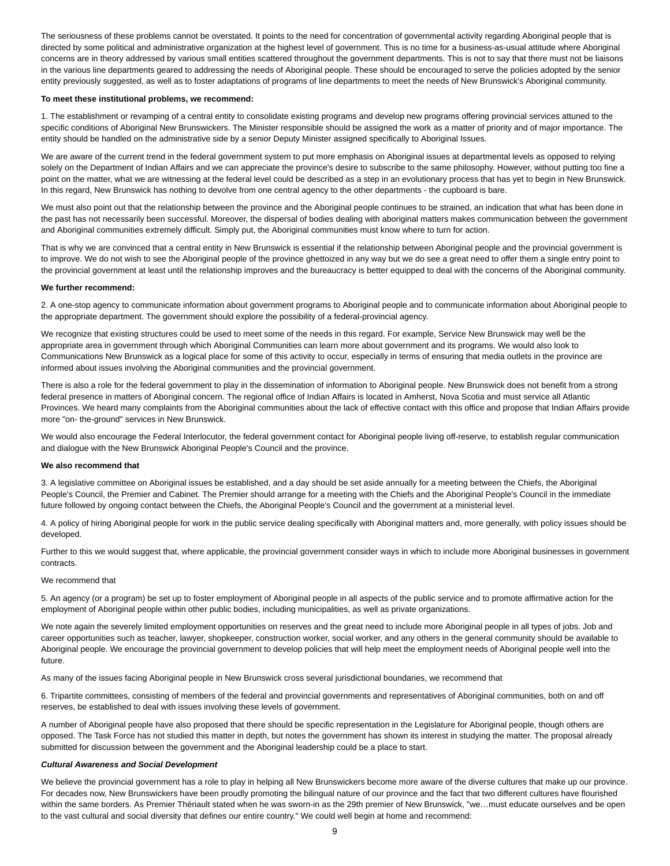The seriousness of these problems cannot be overstated. It points to the need for concentration of governmental activity regarding Aboriginal people that is directed by some political and administrative organization at the highest level of government. This is no time for a business-as-usual attitude where Aboriginal concerns are in theory addressed by various small entities scattered throughout the government departments. This is not to say that there must not be liaisons in the various line departments geared to addressing the needs of Aboriginal people. These should be encouraged to serve the policies adopted by the senior entity previously suggested, as well as to foster adaptations of programs of line departments to meet the needs of New Brunswick's Aboriginal community.

#### **To meet these institutional problems, we recommend:**

1. The establishment or revamping of a central entity to consolidate existing programs and develop new programs offering provincial services attuned to the specific conditions of Aboriginal New Brunswickers. The Minister responsible should be assigned the work as a matter of priority and of major importance. The entity should be handled on the administrative side by a senior Deputy Minister assigned specifically to Aboriginal Issues.

We are aware of the current trend in the federal government system to put more emphasis on Aboriginal issues at departmental levels as opposed to relying solely on the Department of Indian Affairs and we can appreciate the province's desire to subscribe to the same philosophy. However, without putting too fine a point on the matter, what we are witnessing at the federal level could be described as a step in an evolutionary process that has yet to begin in New Brunswick. In this regard, New Brunswick has nothing to devolve from one central agency to the other departments - the cupboard is bare.

We must also point out that the relationship between the province and the Aboriginal people continues to be strained, an indication that what has been done in the past has not necessarily been successful. Moreover, the dispersal of bodies dealing with aboriginal matters makes communication between the government and Aboriginal communities extremely difficult. Simply put, the Aboriginal communities must know where to turn for action.

That is why we are convinced that a central entity in New Brunswick is essential if the relationship between Aboriginal people and the provincial government is to improve. We do not wish to see the Aboriginal people of the province ghettoized in any way but we do see a great need to offer them a single entry point to the provincial government at least until the relationship improves and the bureaucracy is better equipped to deal with the concerns of the Aboriginal community.

## **We further recommend:**

2. A one-stop agency to communicate information about government programs to Aboriginal people and to communicate information about Aboriginal people to the appropriate department. The government should explore the possibility of a federal-provincial agency.

We recognize that existing structures could be used to meet some of the needs in this regard. For example, Service New Brunswick may well be the appropriate area in government through which Aboriginal Communities can learn more about government and its programs. We would also look to Communications New Brunswick as a logical place for some of this activity to occur, especially in terms of ensuring that media outlets in the province are informed about issues involving the Aboriginal communities and the provincial government.

There is also a role for the federal government to play in the dissemination of information to Aboriginal people. New Brunswick does not benefit from a strong federal presence in matters of Aboriginal concern. The regional office of Indian Affairs is located in Amherst, Nova Scotia and must service all Atlantic Provinces. We heard many complaints from the Aboriginal communities about the lack of effective contact with this office and propose that Indian Affairs provide more "on- the-ground" services in New Brunswick.

We would also encourage the Federal Interlocutor, the federal government contact for Aboriginal people living off-reserve, to establish regular communication and dialogue with the New Brunswick Aboriginal People's Council and the province.

#### **We also recommend that**

3. A legislative committee on Aboriginal issues be established, and a day should be set aside annually for a meeting between the Chiefs, the Aboriginal People's Council, the Premier and Cabinet. The Premier should arrange for a meeting with the Chiefs and the Aboriginal People's Council in the immediate future followed by ongoing contact between the Chiefs, the Aboriginal People's Council and the government at a ministerial level.

4. A policy of hiring Aboriginal people for work in the public service dealing specifically with Aboriginal matters and, more generally, with policy issues should be developed.

Further to this we would suggest that, where applicable, the provincial government consider ways in which to include more Aboriginal businesses in government contracts.

## We recommend that

5. An agency (or a program) be set up to foster employment of Aboriginal people in all aspects of the public service and to promote affirmative action for the employment of Aboriginal people within other public bodies, including municipalities, as well as private organizations.

We note again the severely limited employment opportunities on reserves and the great need to include more Aboriginal people in all types of jobs. Job and career opportunities such as teacher, lawyer, shopkeeper, construction worker, social worker, and any others in the general community should be available to Aboriginal people. We encourage the provincial government to develop policies that will help meet the employment needs of Aboriginal people well into the future.

As many of the issues facing Aboriginal people in New Brunswick cross several jurisdictional boundaries, we recommend that

6. Tripartite committees, consisting of members of the federal and provincial governments and representatives of Aboriginal communities, both on and off reserves, be established to deal with issues involving these levels of government.

A number of Aboriginal people have also proposed that there should be specific representation in the Legislature for Aboriginal people, though others are opposed. The Task Force has not studied this matter in depth, but notes the government has shown its interest in studying the matter. The proposal already submitted for discussion between the government and the Aboriginal leadership could be a place to start.

## <span id="page-8-0"></span>*Cultural Awareness and Social Development*

We believe the provincial government has a role to play in helping all New Brunswickers become more aware of the diverse cultures that make up our province. For decades now, New Brunswickers have been proudly promoting the bilingual nature of our province and the fact that two different cultures have flourished within the same borders. As Premier Thériault stated when he was sworn-in as the 29th premier of New Brunswick, "we…must educate ourselves and be open to the vast cultural and social diversity that defines our entire country." We could well begin at home and recommend: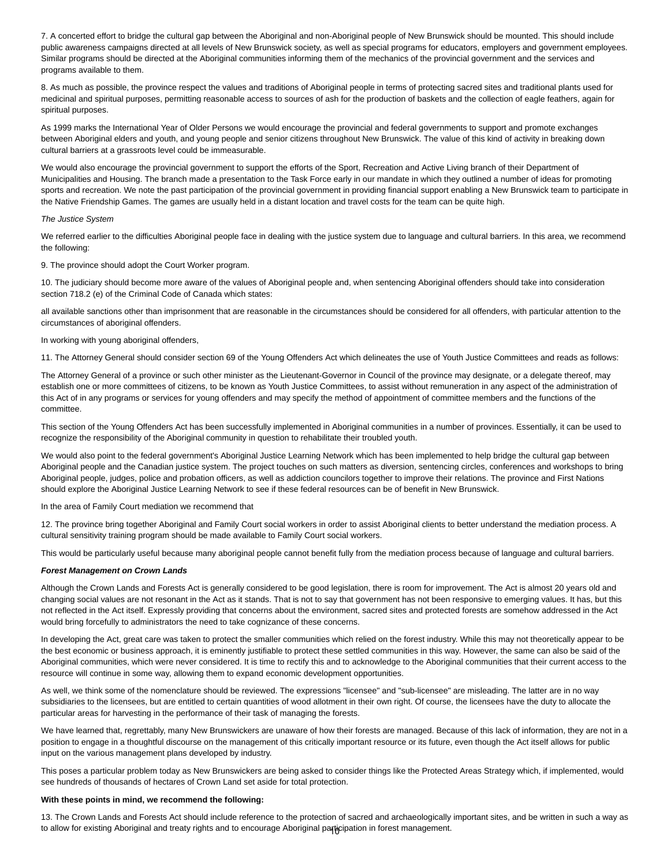7. A concerted effort to bridge the cultural gap between the Aboriginal and non-Aboriginal people of New Brunswick should be mounted. This should include public awareness campaigns directed at all levels of New Brunswick society, as well as special programs for educators, employers and government employees. Similar programs should be directed at the Aboriginal communities informing them of the mechanics of the provincial government and the services and programs available to them.

8. As much as possible, the province respect the values and traditions of Aboriginal people in terms of protecting sacred sites and traditional plants used for medicinal and spiritual purposes, permitting reasonable access to sources of ash for the production of baskets and the collection of eagle feathers, again for spiritual purposes.

As 1999 marks the International Year of Older Persons we would encourage the provincial and federal governments to support and promote exchanges between Aboriginal elders and youth, and young people and senior citizens throughout New Brunswick. The value of this kind of activity in breaking down cultural barriers at a grassroots level could be immeasurable.

We would also encourage the provincial government to support the efforts of the Sport, Recreation and Active Living branch of their Department of Municipalities and Housing. The branch made a presentation to the Task Force early in our mandate in which they outlined a number of ideas for promoting sports and recreation. We note the past participation of the provincial government in providing financial support enabling a New Brunswick team to participate in the Native Friendship Games. The games are usually held in a distant location and travel costs for the team can be quite high.

#### <span id="page-9-0"></span>*The Justice System*

We referred earlier to the difficulties Aboriginal people face in dealing with the justice system due to language and cultural barriers. In this area, we recommend the following:

9. The province should adopt the Court Worker program.

10. The judiciary should become more aware of the values of Aboriginal people and, when sentencing Aboriginal offenders should take into consideration section 718.2 (e) of the Criminal Code of Canada which states:

all available sanctions other than imprisonment that are reasonable in the circumstances should be considered for all offenders, with particular attention to the circumstances of aboriginal offenders.

### In working with young aboriginal offenders,

11. The Attorney General should consider section 69 of the Young Offenders Act which delineates the use of Youth Justice Committees and reads as follows:

The Attorney General of a province or such other minister as the Lieutenant-Governor in Council of the province may designate, or a delegate thereof, may establish one or more committees of citizens, to be known as Youth Justice Committees, to assist without remuneration in any aspect of the administration of this Act of in any programs or services for young offenders and may specify the method of appointment of committee members and the functions of the committee.

This section of the Young Offenders Act has been successfully implemented in Aboriginal communities in a number of provinces. Essentially, it can be used to recognize the responsibility of the Aboriginal community in question to rehabilitate their troubled youth.

We would also point to the federal government's Aboriginal Justice Learning Network which has been implemented to help bridge the cultural gap between Aboriginal people and the Canadian justice system. The project touches on such matters as diversion, sentencing circles, conferences and workshops to bring Aboriginal people, judges, police and probation officers, as well as addiction councilors together to improve their relations. The province and First Nations should explore the Aboriginal Justice Learning Network to see if these federal resources can be of benefit in New Brunswick.

In the area of Family Court mediation we recommend that

12. The province bring together Aboriginal and Family Court social workers in order to assist Aboriginal clients to better understand the mediation process. A cultural sensitivity training program should be made available to Family Court social workers.

This would be particularly useful because many aboriginal people cannot benefit fully from the mediation process because of language and cultural barriers.

## <span id="page-9-1"></span>*Forest Management on Crown Lands*

Although the Crown Lands and Forests Act is generally considered to be good legislation, there is room for improvement. The Act is almost 20 years old and changing social values are not resonant in the Act as it stands. That is not to say that government has not been responsive to emerging values. It has, but this not reflected in the Act itself. Expressly providing that concerns about the environment, sacred sites and protected forests are somehow addressed in the Act would bring forcefully to administrators the need to take cognizance of these concerns.

In developing the Act, great care was taken to protect the smaller communities which relied on the forest industry. While this may not theoretically appear to be the best economic or business approach, it is eminently justifiable to protect these settled communities in this way. However, the same can also be said of the Aboriginal communities, which were never considered. It is time to rectify this and to acknowledge to the Aboriginal communities that their current access to the resource will continue in some way, allowing them to expand economic development opportunities.

As well, we think some of the nomenclature should be reviewed. The expressions "licensee" and "sub-licensee" are misleading. The latter are in no way subsidiaries to the licensees, but are entitled to certain quantities of wood allotment in their own right. Of course, the licensees have the duty to allocate the particular areas for harvesting in the performance of their task of managing the forests.

We have learned that, regrettably, many New Brunswickers are unaware of how their forests are managed. Because of this lack of information, they are not in a position to engage in a thoughtful discourse on the management of this critically important resource or its future, even though the Act itself allows for public input on the various management plans developed by industry.

This poses a particular problem today as New Brunswickers are being asked to consider things like the Protected Areas Strategy which, if implemented, would see hundreds of thousands of hectares of Crown Land set aside for total protection.

#### **With these points in mind, we recommend the following:**

13. The Crown Lands and Forests Act should include reference to the protection of sacred and archaeologically important sites, and be written in such a way as to allow for existing Aboriginal and treaty rights and to encourage Aboriginal pa**ric**ipation in forest management.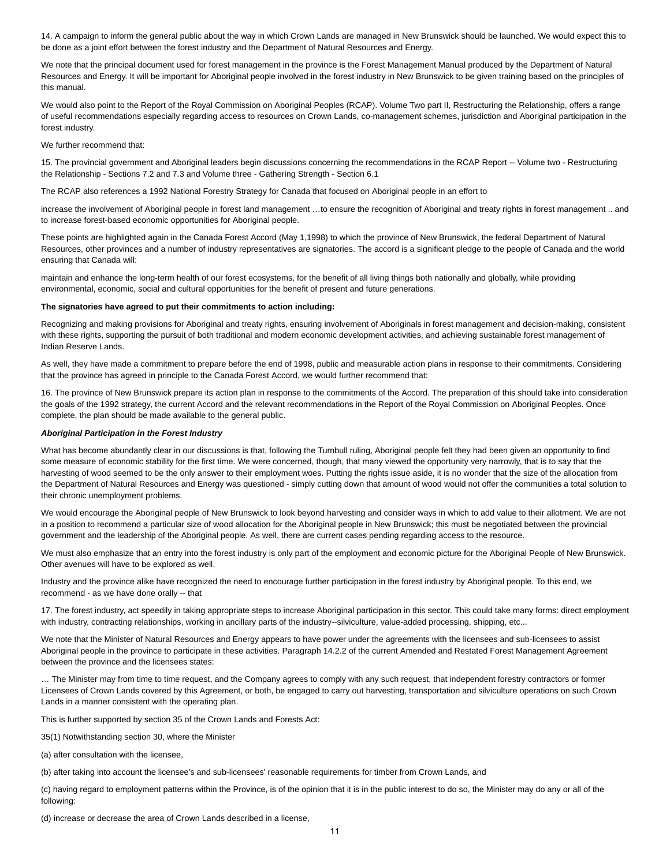14. A campaign to inform the general public about the way in which Crown Lands are managed in New Brunswick should be launched. We would expect this to be done as a joint effort between the forest industry and the Department of Natural Resources and Energy.

We note that the principal document used for forest management in the province is the Forest Management Manual produced by the Department of Natural Resources and Energy. It will be important for Aboriginal people involved in the forest industry in New Brunswick to be given training based on the principles of this manual.

We would also point to the Report of the Royal Commission on Aboriginal Peoples (RCAP). Volume Two part II, Restructuring the Relationship, offers a range of useful recommendations especially regarding access to resources on Crown Lands, co-management schemes, jurisdiction and Aboriginal participation in the forest industry.

We further recommend that:

15. The provincial government and Aboriginal leaders begin discussions concerning the recommendations in the RCAP Report -- Volume two - Restructuring the Relationship - Sections 7.2 and 7.3 and Volume three - Gathering Strength - Section 6.1

The RCAP also references a 1992 National Forestry Strategy for Canada that focused on Aboriginal people in an effort to

increase the involvement of Aboriginal people in forest land management …to ensure the recognition of Aboriginal and treaty rights in forest management .. and to increase forest-based economic opportunities for Aboriginal people.

These points are highlighted again in the Canada Forest Accord (May 1,1998) to which the province of New Brunswick, the federal Department of Natural Resources, other provinces and a number of industry representatives are signatories. The accord is a significant pledge to the people of Canada and the world ensuring that Canada will:

maintain and enhance the long-term health of our forest ecosystems, for the benefit of all living things both nationally and globally, while providing environmental, economic, social and cultural opportunities for the benefit of present and future generations.

#### **The signatories have agreed to put their commitments to action including:**

Recognizing and making provisions for Aboriginal and treaty rights, ensuring involvement of Aboriginals in forest management and decision-making, consistent with these rights, supporting the pursuit of both traditional and modern economic development activities, and achieving sustainable forest management of Indian Reserve Lands.

As well, they have made a commitment to prepare before the end of 1998, public and measurable action plans in response to their commitments. Considering that the province has agreed in principle to the Canada Forest Accord, we would further recommend that:

16. The province of New Brunswick prepare its action plan in response to the commitments of the Accord. The preparation of this should take into consideration the goals of the 1992 strategy, the current Accord and the relevant recommendations in the Report of the Royal Commission on Aboriginal Peoples. Once complete, the plan should be made available to the general public.

#### <span id="page-10-0"></span>*Aboriginal Participation in the Forest Industry*

What has become abundantly clear in our discussions is that, following the Turnbull ruling, Aboriginal people felt they had been given an opportunity to find some measure of economic stability for the first time. We were concerned, though, that many viewed the opportunity very narrowly, that is to say that the harvesting of wood seemed to be the only answer to their employment woes. Putting the rights issue aside, it is no wonder that the size of the allocation from the Department of Natural Resources and Energy was questioned - simply cutting down that amount of wood would not offer the communities a total solution to their chronic unemployment problems.

We would encourage the Aboriginal people of New Brunswick to look beyond harvesting and consider ways in which to add value to their allotment. We are not in a position to recommend a particular size of wood allocation for the Aboriginal people in New Brunswick; this must be negotiated between the provincial government and the leadership of the Aboriginal people. As well, there are current cases pending regarding access to the resource.

We must also emphasize that an entry into the forest industry is only part of the employment and economic picture for the Aboriginal People of New Brunswick. Other avenues will have to be explored as well.

Industry and the province alike have recognized the need to encourage further participation in the forest industry by Aboriginal people. To this end, we recommend - as we have done orally -- that

17. The forest industry, act speedily in taking appropriate steps to increase Aboriginal participation in this sector. This could take many forms: direct employment with industry, contracting relationships, working in ancillary parts of the industry--silviculture, value-added processing, shipping, etc...

We note that the Minister of Natural Resources and Energy appears to have power under the agreements with the licensees and sub-licensees to assist Aboriginal people in the province to participate in these activities. Paragraph 14.2.2 of the current Amended and Restated Forest Management Agreement between the province and the licensees states:

… The Minister may from time to time request, and the Company agrees to comply with any such request, that independent forestry contractors or former Licensees of Crown Lands covered by this Agreement, or both, be engaged to carry out harvesting, transportation and silviculture operations on such Crown Lands in a manner consistent with the operating plan.

This is further supported by section 35 of the Crown Lands and Forests Act:

35(1) Notwithstanding section 30, where the Minister

(a) after consultation with the licensee,

(b) after taking into account the licensee's and sub-licensees' reasonable requirements for timber from Crown Lands, and

(c) having regard to employment patterns within the Province, is of the opinion that it is in the public interest to do so, the Minister may do any or all of the following:

(d) increase or decrease the area of Crown Lands described in a license,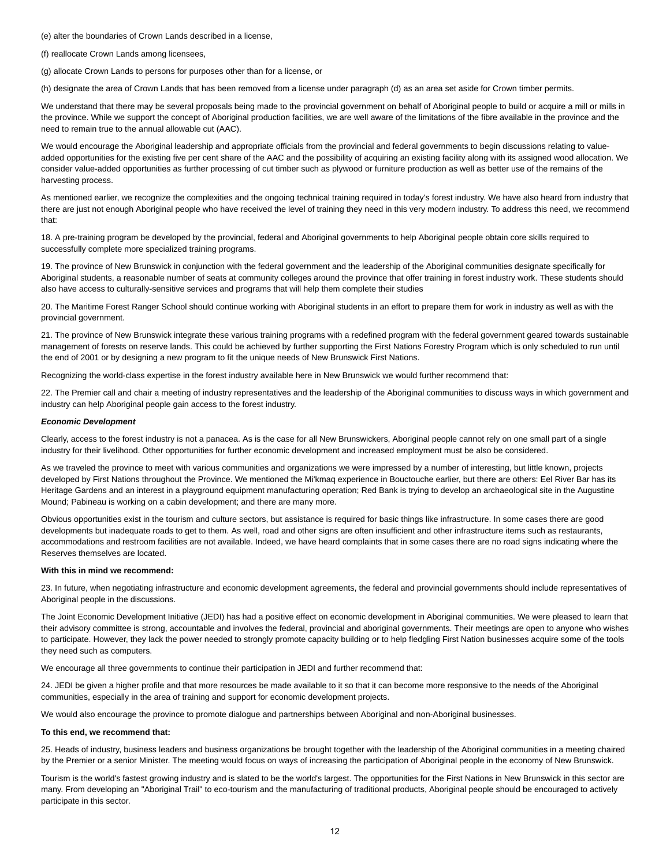(e) alter the boundaries of Crown Lands described in a license,

(f) reallocate Crown Lands among licensees,

(g) allocate Crown Lands to persons for purposes other than for a license, or

(h) designate the area of Crown Lands that has been removed from a license under paragraph (d) as an area set aside for Crown timber permits.

We understand that there may be several proposals being made to the provincial government on behalf of Aboriginal people to build or acquire a mill or mills in the province. While we support the concept of Aboriginal production facilities, we are well aware of the limitations of the fibre available in the province and the need to remain true to the annual allowable cut (AAC).

We would encourage the Aboriginal leadership and appropriate officials from the provincial and federal governments to begin discussions relating to valueadded opportunities for the existing five per cent share of the AAC and the possibility of acquiring an existing facility along with its assigned wood allocation. We consider value-added opportunities as further processing of cut timber such as plywood or furniture production as well as better use of the remains of the harvesting process.

As mentioned earlier, we recognize the complexities and the ongoing technical training required in today's forest industry. We have also heard from industry that there are just not enough Aboriginal people who have received the level of training they need in this very modern industry. To address this need, we recommend that:

18. A pre-training program be developed by the provincial, federal and Aboriginal governments to help Aboriginal people obtain core skills required to successfully complete more specialized training programs.

19. The province of New Brunswick in conjunction with the federal government and the leadership of the Aboriginal communities designate specifically for Aboriginal students, a reasonable number of seats at community colleges around the province that offer training in forest industry work. These students should also have access to culturally-sensitive services and programs that will help them complete their studies

20. The Maritime Forest Ranger School should continue working with Aboriginal students in an effort to prepare them for work in industry as well as with the provincial government.

21. The province of New Brunswick integrate these various training programs with a redefined program with the federal government geared towards sustainable management of forests on reserve lands. This could be achieved by further supporting the First Nations Forestry Program which is only scheduled to run until the end of 2001 or by designing a new program to fit the unique needs of New Brunswick First Nations.

Recognizing the world-class expertise in the forest industry available here in New Brunswick we would further recommend that:

22. The Premier call and chair a meeting of industry representatives and the leadership of the Aboriginal communities to discuss ways in which government and industry can help Aboriginal people gain access to the forest industry.

## <span id="page-11-0"></span>*Economic Development*

Clearly, access to the forest industry is not a panacea. As is the case for all New Brunswickers, Aboriginal people cannot rely on one small part of a single industry for their livelihood. Other opportunities for further economic development and increased employment must be also be considered.

As we traveled the province to meet with various communities and organizations we were impressed by a number of interesting, but little known, projects developed by First Nations throughout the Province. We mentioned the Mi'kmaq experience in Bouctouche earlier, but there are others: Eel River Bar has its Heritage Gardens and an interest in a playground equipment manufacturing operation; Red Bank is trying to develop an archaeological site in the Augustine Mound; Pabineau is working on a cabin development; and there are many more.

Obvious opportunities exist in the tourism and culture sectors, but assistance is required for basic things like infrastructure. In some cases there are good developments but inadequate roads to get to them. As well, road and other signs are often insufficient and other infrastructure items such as restaurants, accommodations and restroom facilities are not available. Indeed, we have heard complaints that in some cases there are no road signs indicating where the Reserves themselves are located.

## **With this in mind we recommend:**

23. In future, when negotiating infrastructure and economic development agreements, the federal and provincial governments should include representatives of Aboriginal people in the discussions.

The Joint Economic Development Initiative (JEDI) has had a positive effect on economic development in Aboriginal communities. We were pleased to learn that their advisory committee is strong, accountable and involves the federal, provincial and aboriginal governments. Their meetings are open to anyone who wishes to participate. However, they lack the power needed to strongly promote capacity building or to help fledgling First Nation businesses acquire some of the tools they need such as computers.

We encourage all three governments to continue their participation in JEDI and further recommend that:

24. JEDI be given a higher profile and that more resources be made available to it so that it can become more responsive to the needs of the Aboriginal communities, especially in the area of training and support for economic development projects.

We would also encourage the province to promote dialogue and partnerships between Aboriginal and non-Aboriginal businesses.

#### **To this end, we recommend that:**

25. Heads of industry, business leaders and business organizations be brought together with the leadership of the Aboriginal communities in a meeting chaired by the Premier or a senior Minister. The meeting would focus on ways of increasing the participation of Aboriginal people in the economy of New Brunswick.

Tourism is the world's fastest growing industry and is slated to be the world's largest. The opportunities for the First Nations in New Brunswick in this sector are many. From developing an "Aboriginal Trail" to eco-tourism and the manufacturing of traditional products, Aboriginal people should be encouraged to actively participate in this sector.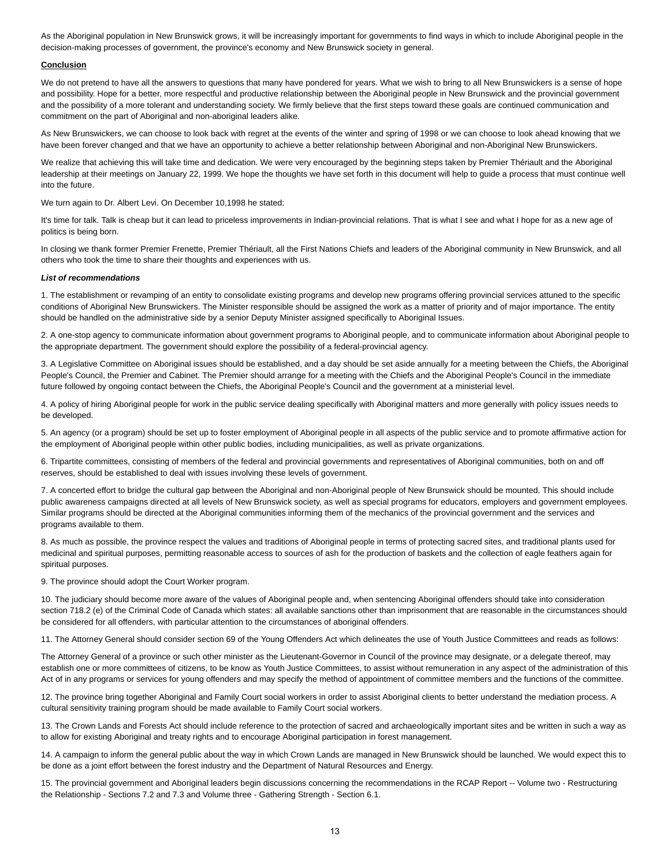As the Aboriginal population in New Brunswick grows, it will be increasingly important for governments to find ways in which to include Aboriginal people in the decision-making processes of government, the province's economy and New Brunswick society in general.

## <span id="page-12-0"></span>**Conclusion**

We do not pretend to have all the answers to questions that many have pondered for years. What we wish to bring to all New Brunswickers is a sense of hope and possibility. Hope for a better, more respectful and productive relationship between the Aboriginal people in New Brunswick and the provincial government and the possibility of a more tolerant and understanding society. We firmly believe that the first steps toward these goals are continued communication and commitment on the part of Aboriginal and non-aboriginal leaders alike.

As New Brunswickers, we can choose to look back with regret at the events of the winter and spring of 1998 or we can choose to look ahead knowing that we have been forever changed and that we have an opportunity to achieve a better relationship between Aboriginal and non-Aboriginal New Brunswickers.

We realize that achieving this will take time and dedication. We were very encouraged by the beginning steps taken by Premier Thériault and the Aboriginal leadership at their meetings on January 22, 1999. We hope the thoughts we have set forth in this document will help to guide a process that must continue well into the future.

We turn again to Dr. Albert Levi. On December 10,1998 he stated:

It's time for talk. Talk is cheap but it can lead to priceless improvements in Indian-provincial relations. That is what I see and what I hope for as a new age of politics is being born.

In closing we thank former Premier Frenette, Premier Thériault, all the First Nations Chiefs and leaders of the Aboriginal community in New Brunswick, and all others who took the time to share their thoughts and experiences with us.

#### <span id="page-12-1"></span>*List of recommendations*

1. The establishment or revamping of an entity to consolidate existing programs and develop new programs offering provincial services attuned to the specific conditions of Aboriginal New Brunswickers. The Minister responsible should be assigned the work as a matter of priority and of major importance. The entity should be handled on the administrative side by a senior Deputy Minister assigned specifically to Aboriginal Issues.

2. A one-stop agency to communicate information about government programs to Aboriginal people, and to communicate information about Aboriginal people to the appropriate department. The government should explore the possibility of a federal-provincial agency.

3. A Legislative Committee on Aboriginal issues should be established, and a day should be set aside annually for a meeting between the Chiefs, the Aboriginal People's Council, the Premier and Cabinet. The Premier should arrange for a meeting with the Chiefs and the Aboriginal People's Council in the immediate future followed by ongoing contact between the Chiefs, the Aboriginal People's Council and the government at a ministerial level.

4. A policy of hiring Aboriginal people for work in the public service dealing specifically with Aboriginal matters and more generally with policy issues needs to be developed.

5. An agency (or a program) should be set up to foster employment of Aboriginal people in all aspects of the public service and to promote affirmative action for the employment of Aboriginal people within other public bodies, including municipalities, as well as private organizations.

6. Tripartite committees, consisting of members of the federal and provincial governments and representatives of Aboriginal communities, both on and off reserves, should be established to deal with issues involving these levels of government.

7. A concerted effort to bridge the cultural gap between the Aboriginal and non-Aboriginal people of New Brunswick should be mounted. This should include public awareness campaigns directed at all levels of New Brunswick society, as well as special programs for educators, employers and government employees. Similar programs should be directed at the Aboriginal communities informing them of the mechanics of the provincial government and the services and programs available to them.

8. As much as possible, the province respect the values and traditions of Aboriginal people in terms of protecting sacred sites, and traditional plants used for medicinal and spiritual purposes, permitting reasonable access to sources of ash for the production of baskets and the collection of eagle feathers again for spiritual purposes.

9. The province should adopt the Court Worker program.

10. The judiciary should become more aware of the values of Aboriginal people and, when sentencing Aboriginal offenders should take into consideration section 718.2 (e) of the Criminal Code of Canada which states: all available sanctions other than imprisonment that are reasonable in the circumstances should be considered for all offenders, with particular attention to the circumstances of aboriginal offenders.

11. The Attorney General should consider section 69 of the Young Offenders Act which delineates the use of Youth Justice Committees and reads as follows:

The Attorney General of a province or such other minister as the Lieutenant-Governor in Council of the province may designate, or a delegate thereof, may establish one or more committees of citizens, to be know as Youth Justice Committees, to assist without remuneration in any aspect of the administration of this Act of in any programs or services for young offenders and may specify the method of appointment of committee members and the functions of the committee.

12. The province bring together Aboriginal and Family Court social workers in order to assist Aboriginal clients to better understand the mediation process. A cultural sensitivity training program should be made available to Family Court social workers.

13. The Crown Lands and Forests Act should include reference to the protection of sacred and archaeologically important sites and be written in such a way as to allow for existing Aboriginal and treaty rights and to encourage Aboriginal participation in forest management.

14. A campaign to inform the general public about the way in which Crown Lands are managed in New Brunswick should be launched. We would expect this to be done as a joint effort between the forest industry and the Department of Natural Resources and Energy.

15. The provincial government and Aboriginal leaders begin discussions concerning the recommendations in the RCAP Report -- Volume two - Restructuring the Relationship - Sections 7.2 and 7.3 and Volume three - Gathering Strength - Section 6.1.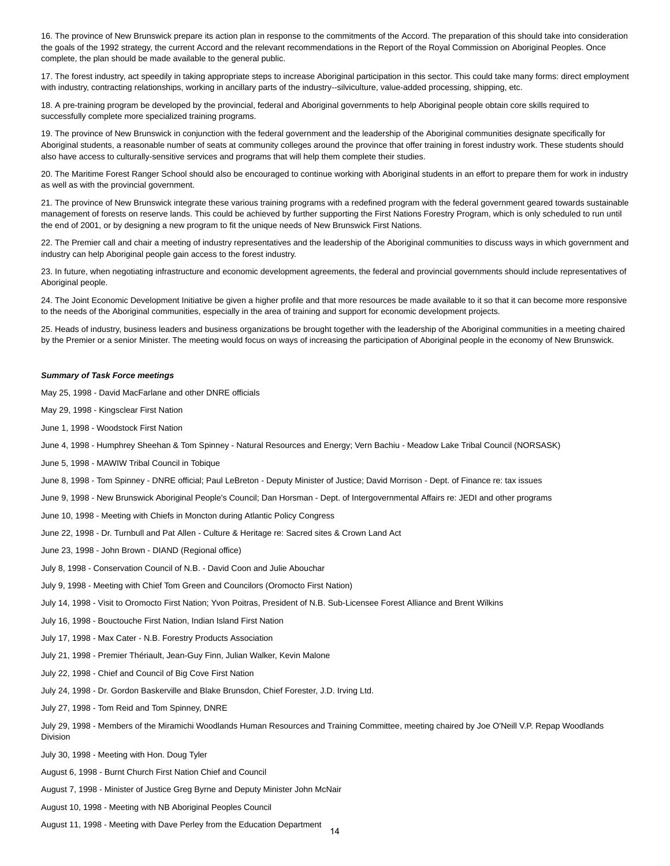16. The province of New Brunswick prepare its action plan in response to the commitments of the Accord. The preparation of this should take into consideration the goals of the 1992 strategy, the current Accord and the relevant recommendations in the Report of the Royal Commission on Aboriginal Peoples. Once complete, the plan should be made available to the general public.

17. The forest industry, act speedily in taking appropriate steps to increase Aboriginal participation in this sector. This could take many forms: direct employment with industry, contracting relationships, working in ancillary parts of the industry--silviculture, value-added processing, shipping, etc.

18. A pre-training program be developed by the provincial, federal and Aboriginal governments to help Aboriginal people obtain core skills required to successfully complete more specialized training programs.

19. The province of New Brunswick in conjunction with the federal government and the leadership of the Aboriginal communities designate specifically for Aboriginal students, a reasonable number of seats at community colleges around the province that offer training in forest industry work. These students should also have access to culturally-sensitive services and programs that will help them complete their studies.

20. The Maritime Forest Ranger School should also be encouraged to continue working with Aboriginal students in an effort to prepare them for work in industry as well as with the provincial government.

21. The province of New Brunswick integrate these various training programs with a redefined program with the federal government geared towards sustainable management of forests on reserve lands. This could be achieved by further supporting the First Nations Forestry Program, which is only scheduled to run until the end of 2001, or by designing a new program to fit the unique needs of New Brunswick First Nations.

22. The Premier call and chair a meeting of industry representatives and the leadership of the Aboriginal communities to discuss ways in which government and industry can help Aboriginal people gain access to the forest industry.

23. In future, when negotiating infrastructure and economic development agreements, the federal and provincial governments should include representatives of Aboriginal people.

24. The Joint Economic Development Initiative be given a higher profile and that more resources be made available to it so that it can become more responsive to the needs of the Aboriginal communities, especially in the area of training and support for economic development projects.

25. Heads of industry, business leaders and business organizations be brought together with the leadership of the Aboriginal communities in a meeting chaired by the Premier or a senior Minister. The meeting would focus on ways of increasing the participation of Aboriginal people in the economy of New Brunswick.

#### <span id="page-13-0"></span>*Summary of Task Force meetings*

May 25, 1998 - David MacFarlane and other DNRE officials

May 29, 1998 - Kingsclear First Nation

June 1, 1998 - Woodstock First Nation

June 4, 1998 - Humphrey Sheehan & Tom Spinney - Natural Resources and Energy; Vern Bachiu - Meadow Lake Tribal Council (NORSASK)

June 5, 1998 - MAWIW Tribal Council in Tobique

June 8, 1998 - Tom Spinney - DNRE official; Paul LeBreton - Deputy Minister of Justice; David Morrison - Dept. of Finance re: tax issues

June 9, 1998 - New Brunswick Aboriginal People's Council; Dan Horsman - Dept. of Intergovernmental Affairs re: JEDI and other programs

June 10, 1998 - Meeting with Chiefs in Moncton during Atlantic Policy Congress

June 22, 1998 - Dr. Turnbull and Pat Allen - Culture & Heritage re: Sacred sites & Crown Land Act

June 23, 1998 - John Brown - DIAND (Regional office)

July 8, 1998 - Conservation Council of N.B. - David Coon and Julie Abouchar

July 9, 1998 - Meeting with Chief Tom Green and Councilors (Oromocto First Nation)

July 14, 1998 - Visit to Oromocto First Nation; Yvon Poitras, President of N.B. Sub-Licensee Forest Alliance and Brent Wilkins

July 16, 1998 - Bouctouche First Nation, Indian Island First Nation

July 17, 1998 - Max Cater - N.B. Forestry Products Association

July 21, 1998 - Premier Thériault, Jean-Guy Finn, Julian Walker, Kevin Malone

July 22, 1998 - Chief and Council of Big Cove First Nation

July 24, 1998 - Dr. Gordon Baskerville and Blake Brunsdon, Chief Forester, J.D. Irving Ltd.

July 27, 1998 - Tom Reid and Tom Spinney, DNRE

July 29, 1998 - Members of the Miramichi Woodlands Human Resources and Training Committee, meeting chaired by Joe O'Neill V.P. Repap Woodlands Division

July 30, 1998 - Meeting with Hon. Doug Tyler

August 6, 1998 - Burnt Church First Nation Chief and Council

August 7, 1998 - Minister of Justice Greg Byrne and Deputy Minister John McNair

August 10, 1998 - Meeting with NB Aboriginal Peoples Council

August 11, 1998 - Meeting with Dave Perley from the Education Department

14